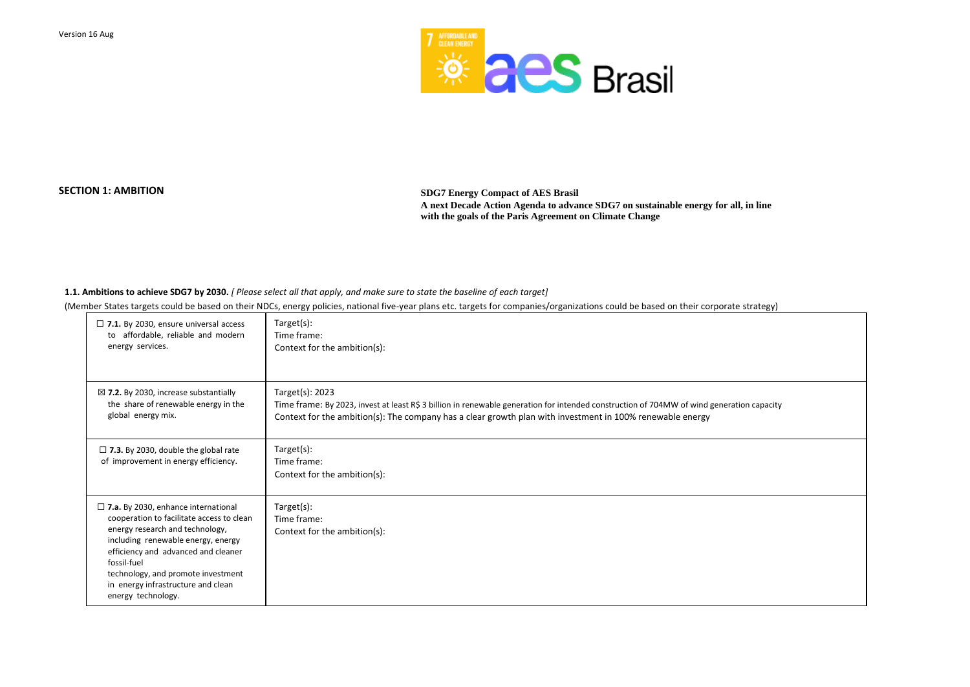

**SECTION 1: AMBITION SDG7 Energy Compact of AES Brasil A next Decade Action Agenda to advance SDG7 on sustainable energy for all, in line with the goals of the Paris Agreement on Climate Change** 

**1.1. Ambitions to achieve SDG7 by 2030.** *[ Please select all that apply, and make sure to state the baseline of each target]* 

(Member States targets could be based on their NDCs, energy policies, national five-year plans etc. targets for companies/organizations could be based on their corporate strategy)

| $\Box$ 7.1. By 2030, ensure universal access                                                                                                                                                                                                                                                                                | Target(s):                                                                                                                                |
|-----------------------------------------------------------------------------------------------------------------------------------------------------------------------------------------------------------------------------------------------------------------------------------------------------------------------------|-------------------------------------------------------------------------------------------------------------------------------------------|
| to affordable, reliable and modern                                                                                                                                                                                                                                                                                          | Time frame:                                                                                                                               |
| energy services.                                                                                                                                                                                                                                                                                                            | Context for the ambition(s):                                                                                                              |
| $\boxtimes$ 7.2. By 2030, increase substantially                                                                                                                                                                                                                                                                            | Target(s): 2023                                                                                                                           |
| the share of renewable energy in the                                                                                                                                                                                                                                                                                        | Time frame: By 2023, invest at least R\$ 3 billion in renewable generation for intended construction of 704MW of wind generation capacity |
| global energy mix.                                                                                                                                                                                                                                                                                                          | Context for the ambition(s): The company has a clear growth plan with investment in 100% renewable energy                                 |
| $\Box$ 7.3. By 2030, double the global rate<br>of improvement in energy efficiency.                                                                                                                                                                                                                                         | Target(s):<br>Time frame:<br>Context for the ambition(s):                                                                                 |
| $\square$ 7.a. By 2030, enhance international<br>cooperation to facilitate access to clean<br>energy research and technology,<br>including renewable energy, energy<br>efficiency and advanced and cleaner<br>fossil-fuel<br>technology, and promote investment<br>in energy infrastructure and clean<br>energy technology. | Target(s):<br>Time frame:<br>Context for the ambition(s):                                                                                 |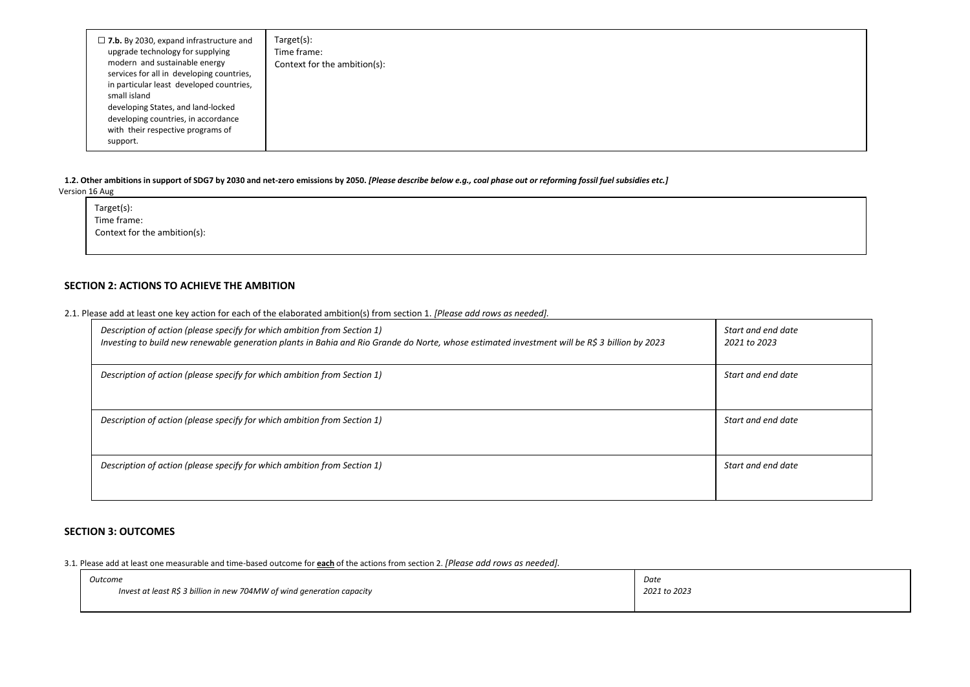| $\Box$ 7.b. By 2030, expand infrastructure and<br>upgrade technology for supplying<br>modern and sustainable energy<br>services for all in developing countries,<br>in particular least developed countries,<br>small island<br>developing States, and land-locked<br>developing countries, in accordance<br>with their respective programs of<br>support. | Target(s):<br>Time frame:<br>Context for the ambition(s): |
|------------------------------------------------------------------------------------------------------------------------------------------------------------------------------------------------------------------------------------------------------------------------------------------------------------------------------------------------------------|-----------------------------------------------------------|
|------------------------------------------------------------------------------------------------------------------------------------------------------------------------------------------------------------------------------------------------------------------------------------------------------------------------------------------------------------|-----------------------------------------------------------|

| Description of action (please specify for which ambition from Section 1) | Investing to build new renewable generation plants in Bahia and Rio Grande do Norte, whose estimated investment will be R\$ 3 billion by 2023 | Start and end date<br>2021 to 2023 |
|--------------------------------------------------------------------------|-----------------------------------------------------------------------------------------------------------------------------------------------|------------------------------------|
| Description of action (please specify for which ambition from Section 1) |                                                                                                                                               | Start and end date                 |
| Description of action (please specify for which ambition from Section 1) |                                                                                                                                               | Start and end date                 |
| Description of action (please specify for which ambition from Section 1) |                                                                                                                                               | Start and end date                 |

**1.2. Other ambitions in support of SDG7 by 2030 and net-zero emissions by 2050.** *[Please describe below e.g., coal phase out or reforming fossil fuel subsidies etc.]* Version 16 Aug

Target(s): Time frame: Context for the ambition(s):

# **SECTION 2: ACTIONS TO ACHIEVE THE AMBITION**

2.1. Please add at least one key action for each of the elaborated ambition(s) from section 1. *[Please add rows as needed].* 

# **SECTION 3: OUTCOMES**

3.1*.* Please add at least one measurable and time-based outcome for **each** of the actions from section 2. *[Please add rows as needed].*

| Outcome                                                                | Date         |
|------------------------------------------------------------------------|--------------|
| Invest at least R\$ 3 billion in new 704MW of wind generation capacity | 2021 to 2023 |
|                                                                        |              |

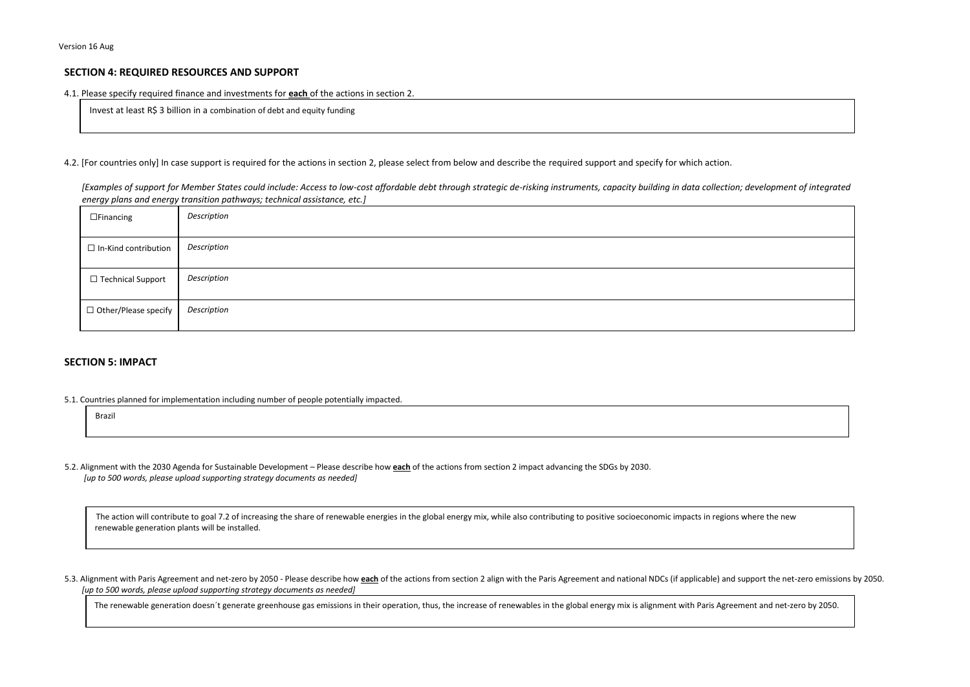## **SECTION 4: REQUIRED RESOURCES AND SUPPORT**

#### 4.1. Please specify required finance and investments for **each** of the actions in section 2.

Invest at least R\$ 3 billion in a combination of debt and equity funding

#### 4.2. [For countries only] In case support is required for the actions in section 2, please select from below and describe the required support and specify for which action.

*[Examples of support for Member States could include: Access to low-cost affordable debt through strategic de-risking instruments, capacity building in data collection; development of integrated energy plans and energy transition pathways; technical assistance, etc.]* 

The action will contribute to goal 7.2 of increasing the share of renewable energies in the global energy mix, while also contributing to positive socioeconomic impacts in regions where the new renewable generation plants will be installed.

| $\Box$ Financing            | Description |
|-----------------------------|-------------|
| $\Box$ In-Kind contribution | Description |
| □ Technical Support         | Description |
| □ Other/Please specify      | Description |

## **SECTION 5: IMPACT**

5.3. Alignment with Paris Agreement and net-zero by 2050 - Please describe how each of the actions from section 2 align with the Paris Agreement and national NDCs (if applicable) and support the net-zero emissions by 2050. *[up to 500 words, please upload supporting strategy documents as needed]* 

The renewable generation doesn't generate greenhouse gas emissions in their operation, thus, the increase of renewables in the global energy mix is alignment with Paris Agreement and net-zero by 2050.





5.1. Countries planned for implementation including number of people potentially impacted.

| Brazil |  |  |  |
|--------|--|--|--|
|        |  |  |  |

5.2. Alignment with the 2030 Agenda for Sustainable Development – Please describe how **each** of the actions from section 2 impact advancing the SDGs by 2030. *[up to 500 words, please upload supporting strategy documents as needed]*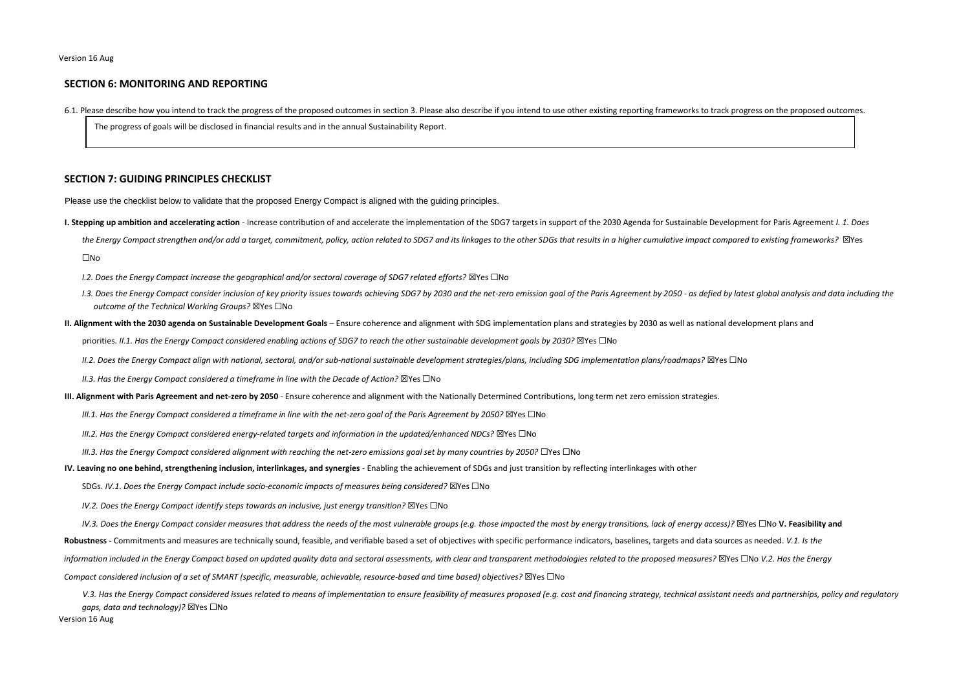## **SECTION 6: MONITORING AND REPORTING**

6.1. Please describe how you intend to track the progress of the proposed outcomes in section 3. Please also describe if you intend to use other existing reporting frameworks to track progress on the proposed outcomes.

The progress of goals will be disclosed in financial results and in the annual Sustainability Report.

### **SECTION 7: GUIDING PRINCIPLES CHECKLIST**

Please use the checklist below to validate that the proposed Energy Compact is aligned with the guiding principles.

- I. Stepping up ambition and accelerating action Increase contribution of and accelerate the implementation of the SDG7 targets in support of the 2030 Agenda for Sustainable Development for Paris Agreement I. 1. Does
	- the Energy Compact strengthen and/or add a target, commitment, policy, action related to SDG7 and its linkages to the other SDGs that results in a higher cumulative impact compared to existing frameworks? ⊠Yes ☐No
	- *I.2. Does the Energy Compact increase the geographical and/or sectoral coverage of SDG7 related efforts?* ⊠Yes □No
	- I.3. Does the Energy Compact consider inclusion of key priority issues towards achieving SDG7 by 2030 and the net-zero emission goal of the Paris Agreement by 2050 as defied by latest global analysis and data including t *outcome of the Technical Working Groups?* ☒Yes ☐No
- II. Alignment with the 2030 agenda on Sustainable Development Goals Ensure coherence and alignment with SDG implementation plans and strategies by 2030 as well as national development plans and priorities. *II.1. Has the Energy Compact considered enabling actions of SDG7 to reach the other sustainable development goals by 2030?* ⊠Yes □No
	- *II.2. Does the Energy Compact align with national, sectoral, and/or sub-national sustainable development strategies/plans, including SDG implementation plans/roadmaps?* ☒Yes ☐No
	- *II.3. Has the Energy Compact considered a timeframe in line with the Decade of Action?* ⊠Yes □No
- **III. Alignment with Paris Agreement and net-zero by 2050**  Ensure coherence and alignment with the Nationally Determined Contributions, long term net zero emission strategies.
	- *III.1. Has the Energy Compact considered a timeframe in line with the net-zero goal of the Paris Agreement by 2050?* ⊠Yes □No
	- *III.2. Has the Energy Compact considered energy-related targets and information in the updated/enhanced NDCs?* ⊠Yes □No
	- *III.3. Has the Energy Compact considered alignment with reaching the net-zero emissions goal set by many countries by 2050?* □Yes □No
- **IV. Leaving no one behind, strengthening inclusion, interlinkages, and synergies** Enabling the achievement of SDGs and just transition by reflecting interlinkages with other
	- SDGs. *IV.1. Does the Energy Compact include socio-economic impacts of measures being considered?* ⊠Yes □No
	- *IV.2. Does the Energy Compact identify steps towards an inclusive, just energy transition?* ⊠Yes □No

IV.3. Does the Energy Compact consider measures that address the needs of the most vulnerable groups (e.g. those impacted the most by energy transitions, lack of energy access)?  $\boxtimes$ Yes  $\Box$ No V. Feasibility and **Robustness -** Commitments and measures are technically sound, feasible, and verifiable based a set of objectives with specific performance indicators, baselines, targets and data sources as needed. *V.1. Is the*  information included in the Energy Compact based on updated quality data and sectoral assessments, with clear and transparent methodologies related to the proposed measures? ⊠Yes □No V.2. Has the Energy *Compact considered inclusion of a set of SMART (specific, measurable, achievable, resource-based and time based) objectives?* ⊠Yes □No

V.3. Has the Energy Compact considered issues related to means of implementation to ensure feasibility of measures proposed (e.g. cost and financing strategy, technical assistant needs and partnerships, policy and regulato *gaps, data and technology)?* ☒Yes ☐No

Version 16 Aug